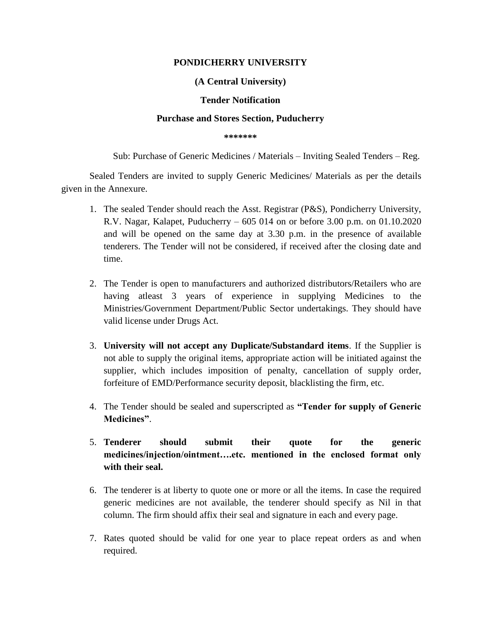## **PONDICHERRY UNIVERSITY**

# **(A Central University)**

### **Tender Notification**

### **Purchase and Stores Section, Puducherry**

#### **\*\*\*\*\*\*\***

Sub: Purchase of Generic Medicines / Materials – Inviting Sealed Tenders – Reg.

Sealed Tenders are invited to supply Generic Medicines/ Materials as per the details given in the Annexure.

- 1. The sealed Tender should reach the Asst. Registrar (P&S), Pondicherry University, R.V. Nagar, Kalapet, Puducherry – 605 014 on or before 3.00 p.m. on 01.10.2020 and will be opened on the same day at 3.30 p.m. in the presence of available tenderers. The Tender will not be considered, if received after the closing date and time.
- 2. The Tender is open to manufacturers and authorized distributors/Retailers who are having atleast 3 years of experience in supplying Medicines to the Ministries/Government Department/Public Sector undertakings. They should have valid license under Drugs Act.
- 3. **University will not accept any Duplicate/Substandard items**. If the Supplier is not able to supply the original items, appropriate action will be initiated against the supplier, which includes imposition of penalty, cancellation of supply order, forfeiture of EMD/Performance security deposit, blacklisting the firm, etc.
- 4. The Tender should be sealed and superscripted as **"Tender for supply of Generic Medicines"**.
- 5. **Tenderer should submit their quote for the generic medicines/injection/ointment….etc. mentioned in the enclosed format only with their seal.**
- 6. The tenderer is at liberty to quote one or more or all the items. In case the required generic medicines are not available, the tenderer should specify as Nil in that column. The firm should affix their seal and signature in each and every page.
- 7. Rates quoted should be valid for one year to place repeat orders as and when required.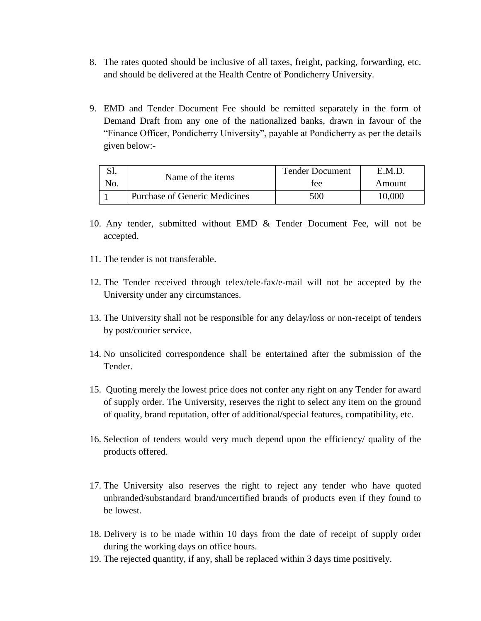- 8. The rates quoted should be inclusive of all taxes, freight, packing, forwarding, etc. and should be delivered at the Health Centre of Pondicherry University.
- 9. EMD and Tender Document Fee should be remitted separately in the form of Demand Draft from any one of the nationalized banks, drawn in favour of the "Finance Officer, Pondicherry University", payable at Pondicherry as per the details given below:-

|  | Name of the items                    | <b>Tender Document</b> | E.M.D. |
|--|--------------------------------------|------------------------|--------|
|  |                                      | fee                    | Amount |
|  | <b>Purchase of Generic Medicines</b> | 500                    | 10.000 |

- 10. Any tender, submitted without EMD & Tender Document Fee, will not be accepted.
- 11. The tender is not transferable.
- 12. The Tender received through telex/tele-fax/e-mail will not be accepted by the University under any circumstances.
- 13. The University shall not be responsible for any delay/loss or non-receipt of tenders by post/courier service.
- 14. No unsolicited correspondence shall be entertained after the submission of the Tender.
- 15. Quoting merely the lowest price does not confer any right on any Tender for award of supply order. The University, reserves the right to select any item on the ground of quality, brand reputation, offer of additional/special features, compatibility, etc.
- 16. Selection of tenders would very much depend upon the efficiency/ quality of the products offered.
- 17. The University also reserves the right to reject any tender who have quoted unbranded/substandard brand/uncertified brands of products even if they found to be lowest.
- 18. Delivery is to be made within 10 days from the date of receipt of supply order during the working days on office hours.
- 19. The rejected quantity, if any, shall be replaced within 3 days time positively.